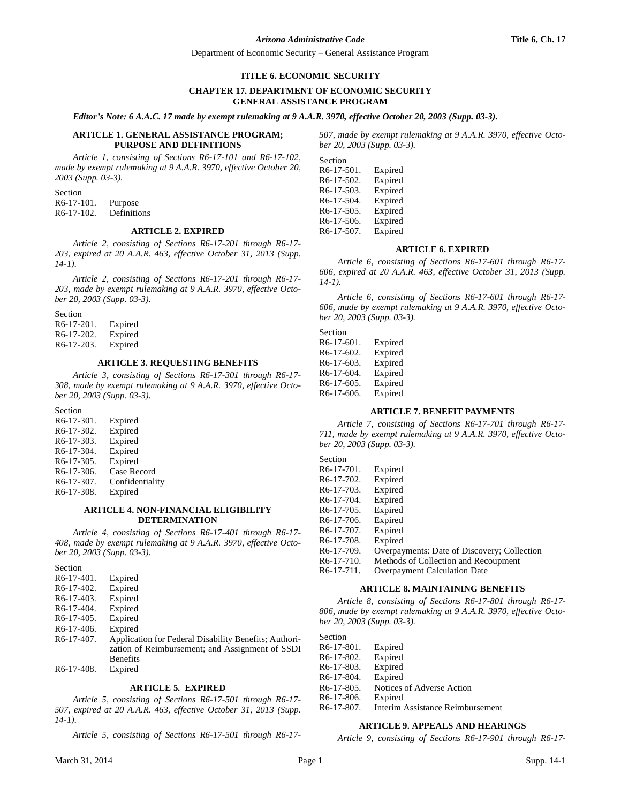#### **TITLE 6. ECONOMIC SECURITY**

# **CHAPTER 17. DEPARTMENT OF ECONOMIC SECURITY GENERAL ASSISTANCE PROGRAM**

*Editor's Note: 6 A.A.C. 17 made by exempt rulemaking at 9 A.A.R. 3970, effective October 20, 2003 (Supp. 03-3).*

# **ARTICLE 1. GENERAL ASSISTANCE PROGRAM; PURPOSE AND DEFINITIONS**

*Article 1, consisting of Sections R6-17-101 and R6-17-102, made by exempt rulemaking at 9 A.A.R. 3970, effective October 20, 2003 (Supp. 03-3).*

| Section                 |             |
|-------------------------|-------------|
| $R6-17-101$ .           | Purpose     |
| R <sub>6</sub> -17-102. | Definitions |

#### **ARTICLE 2. EXPIRED**

*Article 2, consisting of Sections R6-17-201 through R6-17- 203, expired at 20 A.A.R. 463, effective October 31, 2013 (Supp. 14-1).*

*Article 2, consisting of Sections R6-17-201 through R6-17- 203, made by exempt rulemaking at 9 A.A.R. 3970, effective October 20, 2003 (Supp. 03-3).*

Section R6-17-201. Expired R6-17-202. Expired R6-17-203. Expired

#### **ARTICLE 3. REQUESTING BENEFITS**

*Article 3, consisting of Sections R6-17-301 through R6-17- 308, made by exempt rulemaking at 9 A.A.R. 3970, effective October 20, 2003 (Supp. 03-3).*

Section R6-17-301. Expired R6-17-302. Expired R6-17-303. Expired R6-17-304. Expired R6-17-305. Expired R6-17-306. Case Record R6-17-307. Confidentiality

R6-17-308. Expired

#### **ARTICLE 4. NON-FINANCIAL ELIGIBILITY DETERMINATION**

*Article 4, consisting of Sections R6-17-401 through R6-17- 408, made by exempt rulemaking at 9 A.A.R. 3970, effective October 20, 2003 (Supp. 03-3).*

Section R6-17-401. Expired R6-17-402. Expired R6-17-403. Expired<br>R6-17-404. Expired R6-17-404. R6-17-405. Expired R6-17-406. Expired R6-17-407. Application for Federal Disability Benefits; Authorization of Reimbursement; and Assignment of SSDI Benefits R6-17-408. Expired

#### **ARTICLE 5. EXPIRED**

*Article 5, consisting of Sections R6-17-501 through R6-17- 507, expired at 20 A.A.R. 463, effective October 31, 2013 (Supp. 14-1).*

*Article 5, consisting of Sections R6-17-501 through R6-17-*

| Section    |         |
|------------|---------|
| R6-17-501. | Expired |
| R6-17-502. | Expired |
| R6-17-503. | Expired |
| R6-17-504. | Expired |
| R6-17-505. | Expired |
| R6-17-506. | Expired |
| R6-17-507. | Expired |

### **ARTICLE 6. EXPIRED**

*Article 6, consisting of Sections R6-17-601 through R6-17- 606, expired at 20 A.A.R. 463, effective October 31, 2013 (Supp. 14-1).*

*Article 6, consisting of Sections R6-17-601 through R6-17- 606, made by exempt rulemaking at 9 A.A.R. 3970, effective October 20, 2003 (Supp. 03-3).*

# Section

| R6-17-601. | Expired |
|------------|---------|
| R6-17-602. | Expired |
| R6-17-603. | Expired |
| R6-17-604. | Expired |
| R6-17-605. | Expired |
| R6-17-606. | Expired |

### **ARTICLE 7. BENEFIT PAYMENTS**

*Article 7, consisting of Sections R6-17-701 through R6-17- 711, made by exempt rulemaking at 9 A.A.R. 3970, effective October 20, 2003 (Supp. 03-3).*

| Section                 |                                             |
|-------------------------|---------------------------------------------|
| R <sub>6</sub> -17-701. | Expired                                     |
| R <sub>6</sub> -17-702. | Expired                                     |
| R <sub>6</sub> -17-703. | Expired                                     |
| R <sub>6</sub> -17-704. | Expired                                     |
| R <sub>6</sub> -17-705. | Expired                                     |
| R <sub>6</sub> -17-706. | Expired                                     |
| R <sub>6</sub> -17-707. | Expired                                     |
| R <sub>6</sub> -17-708. | Expired                                     |
| R <sub>6</sub> -17-709. | Overpayments: Date of Discovery; Collection |
| R <sub>6</sub> -17-710. | Methods of Collection and Recoupment        |
| R <sub>6</sub> -17-711. | <b>Overpayment Calculation Date</b>         |

#### **ARTICLE 8. MAINTAINING BENEFITS**

*Article 8, consisting of Sections R6-17-801 through R6-17- 806, made by exempt rulemaking at 9 A.A.R. 3970, effective October 20, 2003 (Supp. 03-3).*

Section

| $R6-17-801$ .           | Expired                          |
|-------------------------|----------------------------------|
| R6-17-802.              | Expired                          |
| R <sub>6</sub> -17-803. | Expired                          |
| R6-17-804.              | Expired                          |
| $R6-17-805$ .           | Notices of Adverse Action        |
| R <sub>6</sub> -17-806. | Expired                          |
| R <sub>6</sub> -17-807. | Interim Assistance Reimbursement |

# **ARTICLE 9. APPEALS AND HEARINGS**

*Article 9, consisting of Sections R6-17-901 through R6-17-*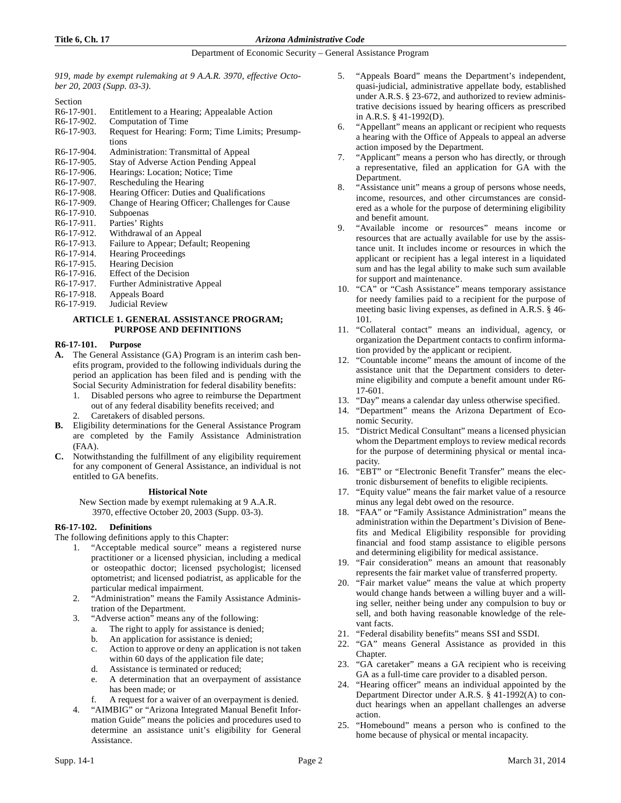*919, made by exempt rulemaking at 9 A.A.R. 3970, effective October 20, 2003 (Supp. 03-3).*

Section

- R6-17-901. Entitlement to a Hearing; Appealable Action R6-17-902. Computation of Time
- Computation of Time
- R6-17-903. Request for Hearing: Form; Time Limits; Presumptions
- R6-17-904. Administration: Transmittal of Appeal
- R6-17-905. Stay of Adverse Action Pending Appeal<br>R6-17-906. Hearings: Location; Notice; Time
- R6-17-906. Hearings: Location; Notice; Time R6-17-907. Rescheduling the Hearing
- Rescheduling the Hearing
- R6-17-908. Hearing Officer: Duties and Qualifications
- R6-17-909. Change of Hearing Officer; Challenges for Cause R6-17-910. Subpoenas
- R6-17-910. Subpoenas<br>R6-17-911. Parties' Rig
- R6-17-911. Parties' Rights<br>R6-17-912. Withdrawal of
- Withdrawal of an Appeal
- R6-17-913. Failure to Appear; Default; Reopening
- R6-17-914. Hearing Proceedings
- R6-17-915. Hearing Decision<br>R6-17-916. Effect of the Deci
- Effect of the Decision
- R6-17-917. Further Administrative Appeal<br>R6-17-918. Appeals Board
- Appeals Board
- R6-17-919. Judicial Review

# **ARTICLE 1. GENERAL ASSISTANCE PROGRAM; PURPOSE AND DEFINITIONS**

### **R6-17-101. Purpose**

- **A.** The General Assistance (GA) Program is an interim cash benefits program, provided to the following individuals during the period an application has been filed and is pending with the Social Security Administration for federal disability benefits:
	- 1. Disabled persons who agree to reimburse the Department out of any federal disability benefits received; and
	- Caretakers of disabled persons.
- **B.** Eligibility determinations for the General Assistance Program are completed by the Family Assistance Administration (FAA).
- **C.** Notwithstanding the fulfillment of any eligibility requirement for any component of General Assistance, an individual is not entitled to GA benefits.

#### **Historical Note**

New Section made by exempt rulemaking at 9 A.A.R. 3970, effective October 20, 2003 (Supp. 03-3).

# **R6-17-102. Definitions**

The following definitions apply to this Chapter:

- 1. "Acceptable medical source" means a registered nurse practitioner or a licensed physician, including a medical or osteopathic doctor; licensed psychologist; licensed optometrist; and licensed podiatrist, as applicable for the particular medical impairment.
- 2. "Administration" means the Family Assistance Administration of the Department.
- 3. "Adverse action" means any of the following:
	- a. The right to apply for assistance is denied;
	- b. An application for assistance is denied;
	- c. Action to approve or deny an application is not taken within 60 days of the application file date;
	- d. Assistance is terminated or reduced;
	- e. A determination that an overpayment of assistance has been made; or
	- A request for a waiver of an overpayment is denied.
- "AIMBIG" or "Arizona Integrated Manual Benefit Information Guide" means the policies and procedures used to determine an assistance unit's eligibility for General Assistance.
- 5. "Appeals Board" means the Department's independent, quasi-judicial, administrative appellate body, established under A.R.S. § 23-672, and authorized to review administrative decisions issued by hearing officers as prescribed in A.R.S. § 41-1992(D).
- 6. "Appellant" means an applicant or recipient who requests a hearing with the Office of Appeals to appeal an adverse action imposed by the Department.
- "Applicant" means a person who has directly, or through a representative, filed an application for GA with the Department.
- 8. "Assistance unit" means a group of persons whose needs, income, resources, and other circumstances are considered as a whole for the purpose of determining eligibility and benefit amount.
- 9. "Available income or resources" means income or resources that are actually available for use by the assistance unit. It includes income or resources in which the applicant or recipient has a legal interest in a liquidated sum and has the legal ability to make such sum available for support and maintenance.
- 10. "CA" or "Cash Assistance" means temporary assistance for needy families paid to a recipient for the purpose of meeting basic living expenses, as defined in A.R.S. § 46- 101.
- 11. "Collateral contact" means an individual, agency, or organization the Department contacts to confirm information provided by the applicant or recipient.
- 12. "Countable income" means the amount of income of the assistance unit that the Department considers to determine eligibility and compute a benefit amount under R6- 17-601.
- 13. "Day" means a calendar day unless otherwise specified.
- 14. "Department" means the Arizona Department of Economic Security.
- 15. "District Medical Consultant" means a licensed physician whom the Department employs to review medical records for the purpose of determining physical or mental incapacity.
- 16. "EBT" or "Electronic Benefit Transfer" means the electronic disbursement of benefits to eligible recipients.
- 17. "Equity value" means the fair market value of a resource minus any legal debt owed on the resource.
- 18. "FAA" or "Family Assistance Administration" means the administration within the Department's Division of Benefits and Medical Eligibility responsible for providing financial and food stamp assistance to eligible persons and determining eligibility for medical assistance.
- 19. "Fair consideration" means an amount that reasonably represents the fair market value of transferred property.
- 20. "Fair market value" means the value at which property would change hands between a willing buyer and a willing seller, neither being under any compulsion to buy or sell, and both having reasonable knowledge of the relevant facts.
- 21. "Federal disability benefits" means SSI and SSDI.
- 22. "GA" means General Assistance as provided in this Chapter.
- 23. "GA caretaker" means a GA recipient who is receiving GA as a full-time care provider to a disabled person.
- 24. "Hearing officer" means an individual appointed by the Department Director under A.R.S. § 41-1992(A) to conduct hearings when an appellant challenges an adverse action.
- 25. "Homebound" means a person who is confined to the home because of physical or mental incapacity.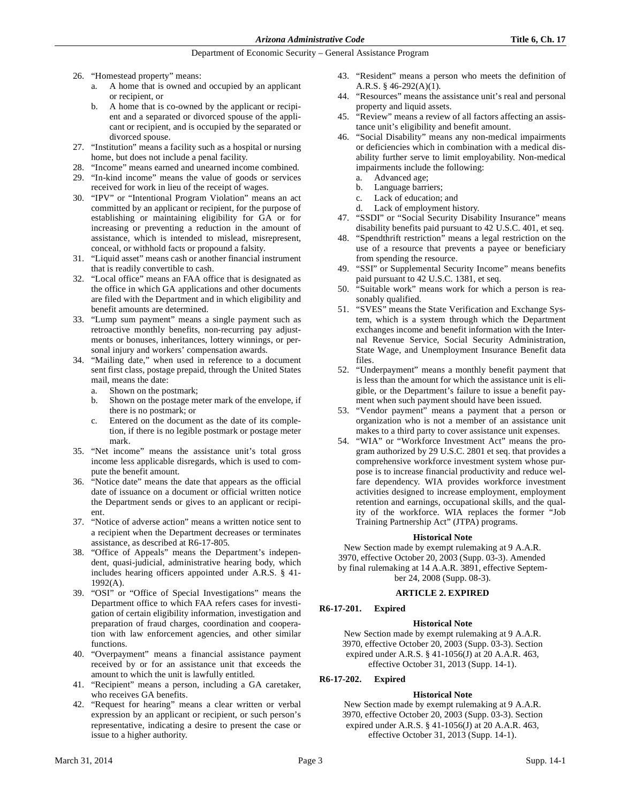- 26. "Homestead property" means:
	- a. A home that is owned and occupied by an applicant or recipient, or
	- b. A home that is co-owned by the applicant or recipient and a separated or divorced spouse of the applicant or recipient, and is occupied by the separated or divorced spouse.
- 27. "Institution" means a facility such as a hospital or nursing home, but does not include a penal facility.
- 28. "Income" means earned and unearned income combined.
- 29. "In-kind income" means the value of goods or services received for work in lieu of the receipt of wages.
- 30. "IPV" or "Intentional Program Violation" means an act committed by an applicant or recipient, for the purpose of establishing or maintaining eligibility for GA or for increasing or preventing a reduction in the amount of assistance, which is intended to mislead, misrepresent, conceal, or withhold facts or propound a falsity.
- 31. "Liquid asset" means cash or another financial instrument that is readily convertible to cash.
- 32. "Local office" means an FAA office that is designated as the office in which GA applications and other documents are filed with the Department and in which eligibility and benefit amounts are determined.
- 33. "Lump sum payment" means a single payment such as retroactive monthly benefits, non-recurring pay adjustments or bonuses, inheritances, lottery winnings, or personal injury and workers' compensation awards.
- 34. "Mailing date," when used in reference to a document sent first class, postage prepaid, through the United States mail, means the date:
	- a. Shown on the postmark;
	- b. Shown on the postage meter mark of the envelope, if there is no postmark; or
	- c. Entered on the document as the date of its completion, if there is no legible postmark or postage meter mark.
- 35. "Net income" means the assistance unit's total gross income less applicable disregards, which is used to compute the benefit amount.
- 36. "Notice date" means the date that appears as the official date of issuance on a document or official written notice the Department sends or gives to an applicant or recipient.
- 37. "Notice of adverse action" means a written notice sent to a recipient when the Department decreases or terminates assistance, as described at R6-17-805.
- 38. "Office of Appeals" means the Department's independent, quasi-judicial, administrative hearing body, which includes hearing officers appointed under A.R.S. § 41- 1992(A).
- 39. "OSI" or "Office of Special Investigations" means the Department office to which FAA refers cases for investigation of certain eligibility information, investigation and preparation of fraud charges, coordination and cooperation with law enforcement agencies, and other similar functions.
- 40. "Overpayment" means a financial assistance payment received by or for an assistance unit that exceeds the amount to which the unit is lawfully entitled.
- 41. "Recipient" means a person, including a GA caretaker, who receives GA benefits.
- 42. "Request for hearing" means a clear written or verbal expression by an applicant or recipient, or such person's representative, indicating a desire to present the case or issue to a higher authority.
- 43. "Resident" means a person who meets the definition of A.R.S. § 46-292(A)(1).
- 44. "Resources" means the assistance unit's real and personal property and liquid assets.
- 45. "Review" means a review of all factors affecting an assistance unit's eligibility and benefit amount.
- 46. "Social Disability" means any non-medical impairments or deficiencies which in combination with a medical disability further serve to limit employability. Non-medical impairments include the following:
	- a. Advanced age;
	- b. Language barriers;
	- c. Lack of education; and
	- d. Lack of employment history.
- 47. "SSDI" or "Social Security Disability Insurance" means disability benefits paid pursuant to 42 U.S.C. 401, et seq.
- 48. "Spendthrift restriction" means a legal restriction on the use of a resource that prevents a payee or beneficiary from spending the resource.
- 49. "SSI" or Supplemental Security Income" means benefits paid pursuant to 42 U.S.C. 1381, et seq.
- 50. "Suitable work" means work for which a person is reasonably qualified.
- 51. "SVES" means the State Verification and Exchange System, which is a system through which the Department exchanges income and benefit information with the Internal Revenue Service, Social Security Administration, State Wage, and Unemployment Insurance Benefit data files.
- 52. "Underpayment" means a monthly benefit payment that is less than the amount for which the assistance unit is eligible, or the Department's failure to issue a benefit payment when such payment should have been issued.
- 53. "Vendor payment" means a payment that a person or organization who is not a member of an assistance unit makes to a third party to cover assistance unit expenses.
- 54. "WIA" or "Workforce Investment Act" means the program authorized by 29 U.S.C. 2801 et seq. that provides a comprehensive workforce investment system whose purpose is to increase financial productivity and reduce welfare dependency. WIA provides workforce investment activities designed to increase employment, employment retention and earnings, occupational skills, and the quality of the workforce. WIA replaces the former "Job Training Partnership Act" (JTPA) programs.

# **Historical Note**

New Section made by exempt rulemaking at 9 A.A.R. 3970, effective October 20, 2003 (Supp. 03-3). Amended by final rulemaking at 14 A.A.R. 3891, effective September 24, 2008 (Supp. 08-3).

# **ARTICLE 2. EXPIRED**

# **R6-17-201. Expired**

# **Historical Note**

New Section made by exempt rulemaking at 9 A.A.R. 3970, effective October 20, 2003 (Supp. 03-3). Section expired under A.R.S. § 41-1056(J) at 20 A.A.R. 463, effective October 31, 2013 (Supp. 14-1).

# **R6-17-202. Expired**

# **Historical Note**

New Section made by exempt rulemaking at 9 A.A.R. 3970, effective October 20, 2003 (Supp. 03-3). Section expired under A.R.S. § 41-1056(J) at 20 A.A.R. 463, effective October 31, 2013 (Supp. 14-1).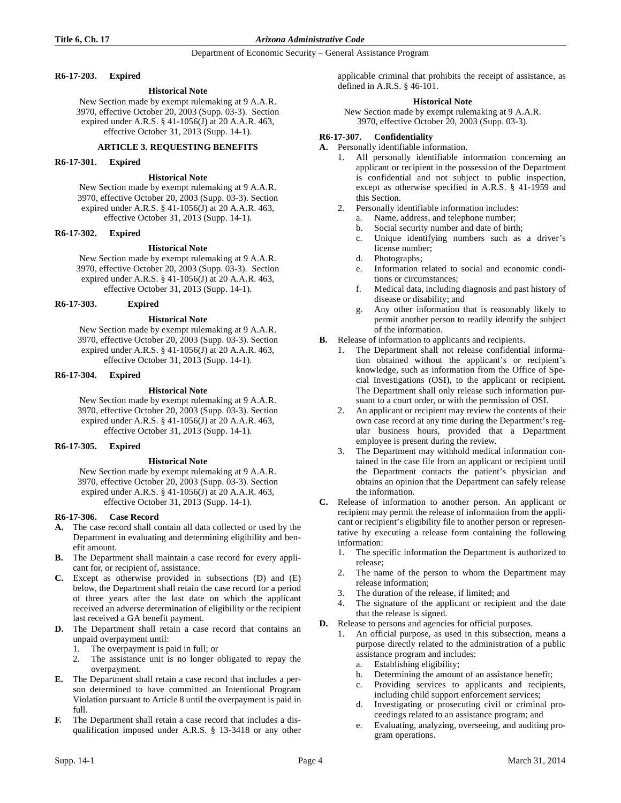# **R6-17-203. Expired**

# **Historical Note**

New Section made by exempt rulemaking at 9 A.A.R. 3970, effective October 20, 2003 (Supp. 03-3). Section expired under A.R.S. § 41-1056(J) at 20 A.A.R. 463, effective October 31, 2013 (Supp. 14-1).

# **ARTICLE 3. REQUESTING BENEFITS**

# **R6-17-301. Expired**

# **Historical Note**

New Section made by exempt rulemaking at 9 A.A.R. 3970, effective October 20, 2003 (Supp. 03-3). Section expired under A.R.S. § 41-1056(J) at 20 A.A.R. 463, effective October 31, 2013 (Supp. 14-1).

# **R6-17-302. Expired**

### **Historical Note**

New Section made by exempt rulemaking at 9 A.A.R. 3970, effective October 20, 2003 (Supp. 03-3). Section expired under A.R.S. § 41-1056(J) at 20 A.A.R. 463, effective October 31, 2013 (Supp. 14-1).

# **R6-17-303. Expired**

# **Historical Note**

New Section made by exempt rulemaking at 9 A.A.R. 3970, effective October 20, 2003 (Supp. 03-3). Section expired under A.R.S. § 41-1056(J) at 20 A.A.R. 463, effective October 31, 2013 (Supp. 14-1).

# **R6-17-304. Expired**

# **Historical Note**

New Section made by exempt rulemaking at 9 A.A.R. 3970, effective October 20, 2003 (Supp. 03-3). Section expired under A.R.S. § 41-1056(J) at 20 A.A.R. 463, effective October 31, 2013 (Supp. 14-1).

# **R6-17-305. Expired**

# **Historical Note**

New Section made by exempt rulemaking at 9 A.A.R. 3970, effective October 20, 2003 (Supp. 03-3). Section expired under A.R.S. § 41-1056(J) at 20 A.A.R. 463, effective October 31, 2013 (Supp. 14-1).

# **R6-17-306. Case Record**

- **A.** The case record shall contain all data collected or used by the Department in evaluating and determining eligibility and benefit amount.
- **B.** The Department shall maintain a case record for every applicant for, or recipient of, assistance.
- **C.** Except as otherwise provided in subsections (D) and (E) below, the Department shall retain the case record for a period of three years after the last date on which the applicant received an adverse determination of eligibility or the recipient last received a GA benefit payment.
- **D.** The Department shall retain a case record that contains an unpaid overpayment until:
	- 1. The overpayment is paid in full; or
	- 2. The assistance unit is no longer obligated to repay the overpayment.
- **E.** The Department shall retain a case record that includes a person determined to have committed an Intentional Program Violation pursuant to Article 8 until the overpayment is paid in full.
- **F.** The Department shall retain a case record that includes a disqualification imposed under A.R.S. § 13-3418 or any other

applicable criminal that prohibits the receipt of assistance, as defined in A.R.S. § 46-101.

# **Historical Note**

New Section made by exempt rulemaking at 9 A.A.R. 3970, effective October 20, 2003 (Supp. 03-3).

# **R6-17-307. Confidentiality**

- **A.** Personally identifiable information.
	- 1. All personally identifiable information concerning an applicant or recipient in the possession of the Department is confidential and not subject to public inspection, except as otherwise specified in A.R.S. § 41-1959 and this Section.
	- 2. Personally identifiable information includes:
		- a. Name, address, and telephone number;
		- b. Social security number and date of birth;
		- c. Unique identifying numbers such as a driver's license number;
		- d. Photographs;
		- e. Information related to social and economic conditions or circumstances;
		- f. Medical data, including diagnosis and past history of disease or disability; and
		- g. Any other information that is reasonably likely to permit another person to readily identify the subject of the information.
- **B.** Release of information to applicants and recipients.
	- The Department shall not release confidential information obtained without the applicant's or recipient's knowledge, such as information from the Office of Special Investigations (OSI), to the applicant or recipient. The Department shall only release such information pursuant to a court order, or with the permission of OSI.
	- 2. An applicant or recipient may review the contents of their own case record at any time during the Department's regular business hours, provided that a Department employee is present during the review.
	- 3. The Department may withhold medical information contained in the case file from an applicant or recipient until the Department contacts the patient's physician and obtains an opinion that the Department can safely release the information.
- **C.** Release of information to another person. An applicant or recipient may permit the release of information from the applicant or recipient's eligibility file to another person or representative by executing a release form containing the following information:
	- 1. The specific information the Department is authorized to release;
	- 2. The name of the person to whom the Department may release information;
	- 3. The duration of the release, if limited; and
	- 4. The signature of the applicant or recipient and the date that the release is signed.
- **D.** Release to persons and agencies for official purposes.
	- An official purpose, as used in this subsection, means a purpose directly related to the administration of a public assistance program and includes:
		- a. Establishing eligibility;
		- b. Determining the amount of an assistance benefit;
		- c. Providing services to applicants and recipients, including child support enforcement services;
		- d. Investigating or prosecuting civil or criminal proceedings related to an assistance program; and
		- e. Evaluating, analyzing, overseeing, and auditing program operations.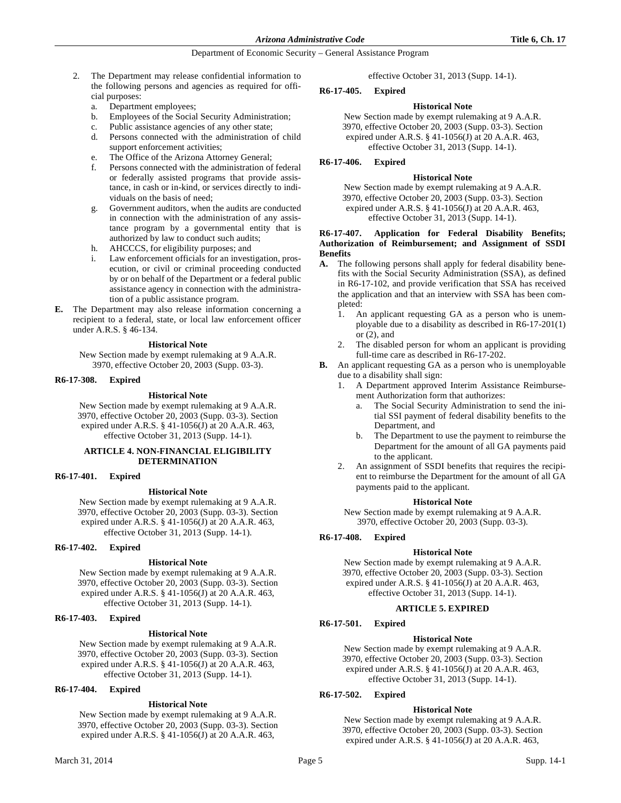- 2. The Department may release confidential information to the following persons and agencies as required for official purposes:
	- a. Department employees;
	- b. Employees of the Social Security Administration;
	- c. Public assistance agencies of any other state;
	- d. Persons connected with the administration of child support enforcement activities;
	- e. The Office of the Arizona Attorney General;
	- f. Persons connected with the administration of federal or federally assisted programs that provide assistance, in cash or in-kind, or services directly to individuals on the basis of need;
	- g. Government auditors, when the audits are conducted in connection with the administration of any assistance program by a governmental entity that is authorized by law to conduct such audits;
	- h. AHCCCS, for eligibility purposes; and
	- i. Law enforcement officials for an investigation, prosecution, or civil or criminal proceeding conducted by or on behalf of the Department or a federal public assistance agency in connection with the administration of a public assistance program.
- **E.** The Department may also release information concerning a recipient to a federal, state, or local law enforcement officer under A.R.S. § 46-134.

#### **Historical Note**

New Section made by exempt rulemaking at 9 A.A.R. 3970, effective October 20, 2003 (Supp. 03-3).

#### **R6-17-308. Expired**

#### **Historical Note**

New Section made by exempt rulemaking at 9 A.A.R. 3970, effective October 20, 2003 (Supp. 03-3). Section expired under A.R.S. § 41-1056(J) at 20 A.A.R. 463, effective October 31, 2013 (Supp. 14-1).

# **ARTICLE 4. NON-FINANCIAL ELIGIBILITY DETERMINATION**

#### **R6-17-401. Expired**

### **Historical Note**

New Section made by exempt rulemaking at 9 A.A.R. 3970, effective October 20, 2003 (Supp. 03-3). Section expired under A.R.S. § 41-1056(J) at 20 A.A.R. 463, effective October 31, 2013 (Supp. 14-1).

### **R6-17-402. Expired**

# **Historical Note**

New Section made by exempt rulemaking at 9 A.A.R. 3970, effective October 20, 2003 (Supp. 03-3). Section expired under A.R.S. § 41-1056(J) at 20 A.A.R. 463, effective October 31, 2013 (Supp. 14-1).

# **R6-17-403. Expired**

#### **Historical Note**

New Section made by exempt rulemaking at 9 A.A.R. 3970, effective October 20, 2003 (Supp. 03-3). Section expired under A.R.S. § 41-1056(J) at 20 A.A.R. 463, effective October 31, 2013 (Supp. 14-1).

# **R6-17-404. Expired**

#### **Historical Note**

New Section made by exempt rulemaking at 9 A.A.R. 3970, effective October 20, 2003 (Supp. 03-3). Section expired under A.R.S. § 41-1056(J) at 20 A.A.R. 463,

effective October 31, 2013 (Supp. 14-1).

#### **R6-17-405. Expired**

# **Historical Note**

New Section made by exempt rulemaking at 9 A.A.R. 3970, effective October 20, 2003 (Supp. 03-3). Section expired under A.R.S. § 41-1056(J) at 20 A.A.R. 463, effective October 31, 2013 (Supp. 14-1).

#### **R6-17-406. Expired**

# **Historical Note**

New Section made by exempt rulemaking at 9 A.A.R. 3970, effective October 20, 2003 (Supp. 03-3). Section expired under A.R.S. § 41-1056(J) at 20 A.A.R. 463, effective October 31, 2013 (Supp. 14-1).

# **R6-17-407. Application for Federal Disability Benefits; Authorization of Reimbursement; and Assignment of SSDI Benefits**

- **A.** The following persons shall apply for federal disability benefits with the Social Security Administration (SSA), as defined in R6-17-102, and provide verification that SSA has received the application and that an interview with SSA has been completed:
	- 1. An applicant requesting GA as a person who is unemployable due to a disability as described in R6-17-201(1) or (2), and
	- 2. The disabled person for whom an applicant is providing full-time care as described in R6-17-202.
- **B.** An applicant requesting GA as a person who is unemployable due to a disability shall sign:
	- 1. A Department approved Interim Assistance Reimbursement Authorization form that authorizes:
		- a. The Social Security Administration to send the initial SSI payment of federal disability benefits to the Department, and
		- The Department to use the payment to reimburse the Department for the amount of all GA payments paid to the applicant.
	- 2. An assignment of SSDI benefits that requires the recipient to reimburse the Department for the amount of all GA payments paid to the applicant.

#### **Historical Note**

New Section made by exempt rulemaking at 9 A.A.R. 3970, effective October 20, 2003 (Supp. 03-3).

#### **R6-17-408. Expired**

#### **Historical Note**

New Section made by exempt rulemaking at 9 A.A.R. 3970, effective October 20, 2003 (Supp. 03-3). Section expired under A.R.S. § 41-1056(J) at 20 A.A.R. 463, effective October 31, 2013 (Supp. 14-1).

# **ARTICLE 5. EXPIRED**

# **R6-17-501. Expired**

#### **Historical Note**

New Section made by exempt rulemaking at 9 A.A.R. 3970, effective October 20, 2003 (Supp. 03-3). Section expired under A.R.S. § 41-1056(J) at 20 A.A.R. 463, effective October 31, 2013 (Supp. 14-1).

### **R6-17-502. Expired**

### **Historical Note**

New Section made by exempt rulemaking at 9 A.A.R. 3970, effective October 20, 2003 (Supp. 03-3). Section expired under A.R.S. § 41-1056(J) at 20 A.A.R. 463,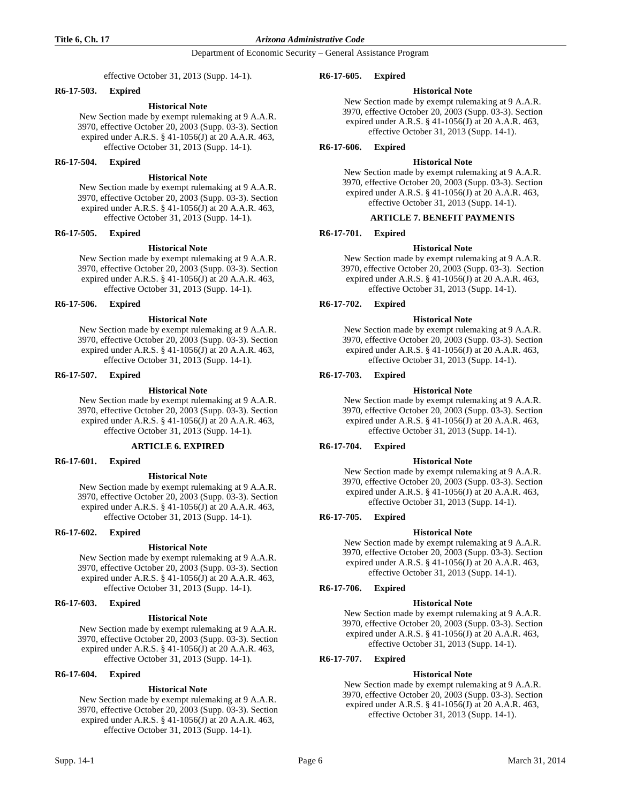### **Title 6, Ch. 17** *Arizona Administrative Code*

Department of Economic Security – General Assistance Program

effective October 31, 2013 (Supp. 14-1).

### **R6-17-503. Expired**

### **Historical Note**

New Section made by exempt rulemaking at 9 A.A.R. 3970, effective October 20, 2003 (Supp. 03-3). Section expired under A.R.S. § 41-1056(J) at 20 A.A.R. 463, effective October 31, 2013 (Supp. 14-1).

# **R6-17-504. Expired**

# **Historical Note**

New Section made by exempt rulemaking at 9 A.A.R. 3970, effective October 20, 2003 (Supp. 03-3). Section expired under A.R.S. § 41-1056(J) at 20 A.A.R. 463, effective October 31, 2013 (Supp. 14-1).

# **R6-17-505. Expired**

### **Historical Note**

New Section made by exempt rulemaking at 9 A.A.R. 3970, effective October 20, 2003 (Supp. 03-3). Section expired under A.R.S. § 41-1056(J) at 20 A.A.R. 463, effective October 31, 2013 (Supp. 14-1).

### **R6-17-506. Expired**

### **Historical Note**

New Section made by exempt rulemaking at 9 A.A.R. 3970, effective October 20, 2003 (Supp. 03-3). Section expired under A.R.S. § 41-1056(J) at 20 A.A.R. 463, effective October 31, 2013 (Supp. 14-1).

### **R6-17-507. Expired**

### **Historical Note**

New Section made by exempt rulemaking at 9 A.A.R. 3970, effective October 20, 2003 (Supp. 03-3). Section expired under A.R.S. § 41-1056(J) at 20 A.A.R. 463, effective October 31, 2013 (Supp. 14-1).

#### **ARTICLE 6. EXPIRED**

**R6-17-601. Expired**

#### **Historical Note**

New Section made by exempt rulemaking at 9 A.A.R. 3970, effective October 20, 2003 (Supp. 03-3). Section expired under A.R.S. § 41-1056(J) at 20 A.A.R. 463, effective October 31, 2013 (Supp. 14-1).

# **R6-17-602. Expired**

# **Historical Note**

New Section made by exempt rulemaking at 9 A.A.R. 3970, effective October 20, 2003 (Supp. 03-3). Section expired under A.R.S. § 41-1056(J) at 20 A.A.R. 463, effective October 31, 2013 (Supp. 14-1).

# **R6-17-603. Expired**

### **Historical Note**

New Section made by exempt rulemaking at 9 A.A.R. 3970, effective October 20, 2003 (Supp. 03-3). Section expired under A.R.S. § 41-1056(J) at 20 A.A.R. 463, effective October 31, 2013 (Supp. 14-1).

# **R6-17-604. Expired**

# **Historical Note**

New Section made by exempt rulemaking at 9 A.A.R. 3970, effective October 20, 2003 (Supp. 03-3). Section expired under A.R.S. § 41-1056(J) at 20 A.A.R. 463, effective October 31, 2013 (Supp. 14-1).

#### **R6-17-605. Expired**

### **Historical Note**

New Section made by exempt rulemaking at 9 A.A.R. 3970, effective October 20, 2003 (Supp. 03-3). Section expired under A.R.S. § 41-1056(J) at 20 A.A.R. 463, effective October 31, 2013 (Supp. 14-1).

**R6-17-606. Expired**

### **Historical Note**

New Section made by exempt rulemaking at 9 A.A.R. 3970, effective October 20, 2003 (Supp. 03-3). Section expired under A.R.S. § 41-1056(J) at 20 A.A.R. 463, effective October 31, 2013 (Supp. 14-1).

# **ARTICLE 7. BENEFIT PAYMENTS**

# **R6-17-701. Expired**

**Historical Note**

New Section made by exempt rulemaking at 9 A.A.R. 3970, effective October 20, 2003 (Supp. 03-3). Section expired under A.R.S. § 41-1056(J) at 20 A.A.R. 463, effective October 31, 2013 (Supp. 14-1).

# **R6-17-702. Expired**

### **Historical Note**

New Section made by exempt rulemaking at 9 A.A.R. 3970, effective October 20, 2003 (Supp. 03-3). Section expired under A.R.S. § 41-1056(J) at 20 A.A.R. 463, effective October 31, 2013 (Supp. 14-1).

# **R6-17-703. Expired**

#### **Historical Note**

New Section made by exempt rulemaking at 9 A.A.R. 3970, effective October 20, 2003 (Supp. 03-3). Section expired under A.R.S. § 41-1056(J) at 20 A.A.R. 463, effective October 31, 2013 (Supp. 14-1).

# **R6-17-704. Expired**

#### **Historical Note**

New Section made by exempt rulemaking at 9 A.A.R. 3970, effective October 20, 2003 (Supp. 03-3). Section expired under A.R.S. § 41-1056(J) at 20 A.A.R. 463, effective October 31, 2013 (Supp. 14-1).

# **R6-17-705. Expired**

#### **Historical Note**

New Section made by exempt rulemaking at 9 A.A.R. 3970, effective October 20, 2003 (Supp. 03-3). Section expired under A.R.S. § 41-1056(J) at 20 A.A.R. 463, effective October 31, 2013 (Supp. 14-1).

# **R6-17-706. Expired**

### **Historical Note**

New Section made by exempt rulemaking at 9 A.A.R. 3970, effective October 20, 2003 (Supp. 03-3). Section expired under A.R.S. § 41-1056(J) at 20 A.A.R. 463, effective October 31, 2013 (Supp. 14-1).

# **R6-17-707. Expired**

# **Historical Note**

New Section made by exempt rulemaking at 9 A.A.R. 3970, effective October 20, 2003 (Supp. 03-3). Section expired under A.R.S. § 41-1056(J) at 20 A.A.R. 463, effective October 31, 2013 (Supp. 14-1).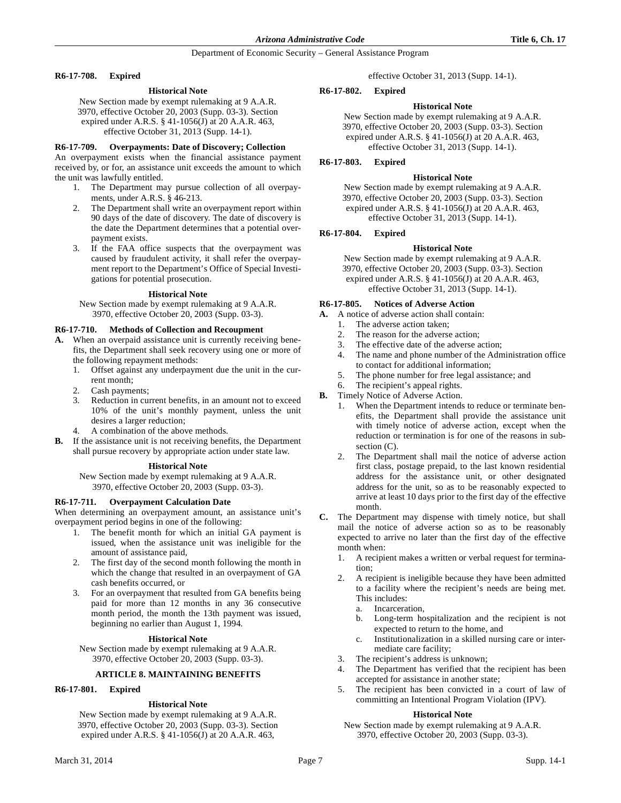### **R6-17-708. Expired**

# **Historical Note**

New Section made by exempt rulemaking at 9 A.A.R. 3970, effective October 20, 2003 (Supp. 03-3). Section expired under A.R.S. § 41-1056(J) at 20 A.A.R. 463, effective October 31, 2013 (Supp. 14-1).

### **R6-17-709. Overpayments: Date of Discovery; Collection**

An overpayment exists when the financial assistance payment received by, or for, an assistance unit exceeds the amount to which the unit was lawfully entitled.

- 1. The Department may pursue collection of all overpayments, under A.R.S. § 46-213.
- 2. The Department shall write an overpayment report within 90 days of the date of discovery. The date of discovery is the date the Department determines that a potential overpayment exists.
- 3. If the FAA office suspects that the overpayment was caused by fraudulent activity, it shall refer the overpayment report to the Department's Office of Special Investigations for potential prosecution.

### **Historical Note**

New Section made by exempt rulemaking at 9 A.A.R. 3970, effective October 20, 2003 (Supp. 03-3).

### **R6-17-710. Methods of Collection and Recoupment**

- **A.** When an overpaid assistance unit is currently receiving benefits, the Department shall seek recovery using one or more of the following repayment methods:
	- 1. Offset against any underpayment due the unit in the current month;
	- 2. Cash payments;
	- 3. Reduction in current benefits, in an amount not to exceed 10% of the unit's monthly payment, unless the unit desires a larger reduction;
	- 4. A combination of the above methods.
- **B.** If the assistance unit is not receiving benefits, the Department shall pursue recovery by appropriate action under state law.

# **Historical Note**

New Section made by exempt rulemaking at 9 A.A.R. 3970, effective October 20, 2003 (Supp. 03-3).

#### **R6-17-711. Overpayment Calculation Date**

When determining an overpayment amount, an assistance unit's overpayment period begins in one of the following:

- 1. The benefit month for which an initial GA payment is issued, when the assistance unit was ineligible for the amount of assistance paid,
- 2. The first day of the second month following the month in which the change that resulted in an overpayment of GA cash benefits occurred, or
- 3. For an overpayment that resulted from GA benefits being paid for more than 12 months in any 36 consecutive month period, the month the 13th payment was issued, beginning no earlier than August 1, 1994.

# **Historical Note**

New Section made by exempt rulemaking at 9 A.A.R. 3970, effective October 20, 2003 (Supp. 03-3).

# **ARTICLE 8. MAINTAINING BENEFITS**

# **R6-17-801. Expired**

# **Historical Note**

New Section made by exempt rulemaking at 9 A.A.R. 3970, effective October 20, 2003 (Supp. 03-3). Section expired under A.R.S. § 41-1056(J) at 20 A.A.R. 463,

effective October 31, 2013 (Supp. 14-1).

# **R6-17-802. Expired**

# **Historical Note**

New Section made by exempt rulemaking at 9 A.A.R. 3970, effective October 20, 2003 (Supp. 03-3). Section expired under A.R.S. § 41-1056(J) at 20 A.A.R. 463, effective October 31, 2013 (Supp. 14-1).

# **R6-17-803. Expired**

# **Historical Note**

New Section made by exempt rulemaking at 9 A.A.R. 3970, effective October 20, 2003 (Supp. 03-3). Section expired under A.R.S. § 41-1056(J) at 20 A.A.R. 463, effective October 31, 2013 (Supp. 14-1).

# **R6-17-804. Expired**

# **Historical Note**

New Section made by exempt rulemaking at 9 A.A.R. 3970, effective October 20, 2003 (Supp. 03-3). Section expired under A.R.S. § 41-1056(J) at 20 A.A.R. 463, effective October 31, 2013 (Supp. 14-1).

# **R6-17-805. Notices of Adverse Action**

- **A.** A notice of adverse action shall contain:
	- 1. The adverse action taken;
		- 2. The reason for the adverse action;
		- 3. The effective date of the adverse action;
		- 4. The name and phone number of the Administration office to contact for additional information;
		- 5. The phone number for free legal assistance; and
	- 6. The recipient's appeal rights.
- **B.** Timely Notice of Adverse Action.
	- 1. When the Department intends to reduce or terminate benefits, the Department shall provide the assistance unit with timely notice of adverse action, except when the reduction or termination is for one of the reasons in subsection  $(C)$ .
	- 2. The Department shall mail the notice of adverse action first class, postage prepaid, to the last known residential address for the assistance unit, or other designated address for the unit, so as to be reasonably expected to arrive at least 10 days prior to the first day of the effective month.
- **C.** The Department may dispense with timely notice, but shall mail the notice of adverse action so as to be reasonably expected to arrive no later than the first day of the effective month when:
	- 1. A recipient makes a written or verbal request for termination;
	- 2. A recipient is ineligible because they have been admitted to a facility where the recipient's needs are being met. This includes:
		- a. Incarceration,
		- b. Long-term hospitalization and the recipient is not expected to return to the home, and
		- c. Institutionalization in a skilled nursing care or intermediate care facility;
	- 3. The recipient's address is unknown;
	- The Department has verified that the recipient has been accepted for assistance in another state;
	- 5. The recipient has been convicted in a court of law of committing an Intentional Program Violation (IPV).

# **Historical Note**

New Section made by exempt rulemaking at 9 A.A.R. 3970, effective October 20, 2003 (Supp. 03-3).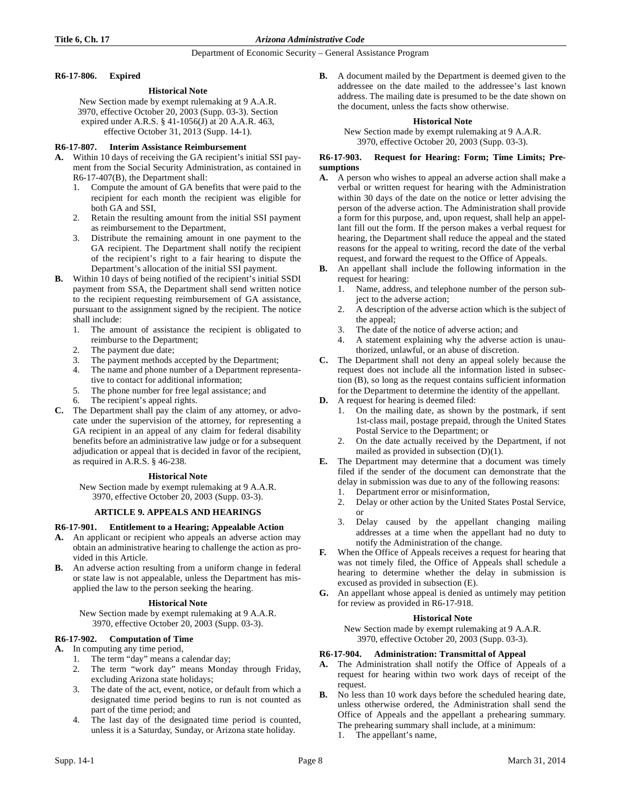# **R6-17-806. Expired**

# **Historical Note**

New Section made by exempt rulemaking at 9 A.A.R. 3970, effective October 20, 2003 (Supp. 03-3). Section expired under A.R.S. § 41-1056(J) at 20 A.A.R. 463, effective October 31, 2013 (Supp. 14-1).

# **R6-17-807. Interim Assistance Reimbursement**

- **A.** Within 10 days of receiving the GA recipient's initial SSI payment from the Social Security Administration, as contained in R6-17-407(B), the Department shall:
	- 1. Compute the amount of GA benefits that were paid to the recipient for each month the recipient was eligible for both GA and SSI,
	- 2. Retain the resulting amount from the initial SSI payment as reimbursement to the Department,
	- 3. Distribute the remaining amount in one payment to the GA recipient. The Department shall notify the recipient of the recipient's right to a fair hearing to dispute the Department's allocation of the initial SSI payment.
- **B.** Within 10 days of being notified of the recipient's initial SSDI payment from SSA, the Department shall send written notice to the recipient requesting reimbursement of GA assistance, pursuant to the assignment signed by the recipient. The notice shall include:
	- 1. The amount of assistance the recipient is obligated to reimburse to the Department;
	- 2. The payment due date;
	- 3. The payment methods accepted by the Department;
	- 4. The name and phone number of a Department representative to contact for additional information;
	- 5. The phone number for free legal assistance; and
	- The recipient's appeal rights.
- **C.** The Department shall pay the claim of any attorney, or advocate under the supervision of the attorney, for representing a GA recipient in an appeal of any claim for federal disability benefits before an administrative law judge or for a subsequent adjudication or appeal that is decided in favor of the recipient, as required in A.R.S. § 46-238.

# **Historical Note**

New Section made by exempt rulemaking at 9 A.A.R. 3970, effective October 20, 2003 (Supp. 03-3).

# **ARTICLE 9. APPEALS AND HEARINGS**

# **R6-17-901. Entitlement to a Hearing; Appealable Action**

- **A.** An applicant or recipient who appeals an adverse action may obtain an administrative hearing to challenge the action as provided in this Article.
- **B.** An adverse action resulting from a uniform change in federal or state law is not appealable, unless the Department has misapplied the law to the person seeking the hearing.

# **Historical Note**

New Section made by exempt rulemaking at 9 A.A.R. 3970, effective October 20, 2003 (Supp. 03-3).

# **R6-17-902. Computation of Time**

- **A.** In computing any time period,
	- 1. The term "day" means a calendar day;
	- 2. The term "work day" means Monday through Friday, excluding Arizona state holidays;
	- 3. The date of the act, event, notice, or default from which a designated time period begins to run is not counted as part of the time period; and
	- The last day of the designated time period is counted, unless it is a Saturday, Sunday, or Arizona state holiday.

**B.** A document mailed by the Department is deemed given to the addressee on the date mailed to the addressee's last known address. The mailing date is presumed to be the date shown on the document, unless the facts show otherwise.

# **Historical Note**

New Section made by exempt rulemaking at 9 A.A.R. 3970, effective October 20, 2003 (Supp. 03-3).

# **R6-17-903. Request for Hearing: Form; Time Limits; Presumptions**

- **A.** A person who wishes to appeal an adverse action shall make a verbal or written request for hearing with the Administration within 30 days of the date on the notice or letter advising the person of the adverse action. The Administration shall provide a form for this purpose, and, upon request, shall help an appellant fill out the form. If the person makes a verbal request for hearing, the Department shall reduce the appeal and the stated reasons for the appeal to writing, record the date of the verbal request, and forward the request to the Office of Appeals.
- **B.** An appellant shall include the following information in the request for hearing:
	- 1. Name, address, and telephone number of the person subject to the adverse action;
	- 2. A description of the adverse action which is the subject of the appeal;
	- 3. The date of the notice of adverse action; and
	- 4. A statement explaining why the adverse action is unauthorized, unlawful, or an abuse of discretion.
- **C.** The Department shall not deny an appeal solely because the request does not include all the information listed in subsection (B), so long as the request contains sufficient information for the Department to determine the identity of the appellant.
- **D.** A request for hearing is deemed filed:
	- 1. On the mailing date, as shown by the postmark, if sent 1st-class mail, postage prepaid, through the United States Postal Service to the Department; or
	- 2. On the date actually received by the Department, if not mailed as provided in subsection (D)(1).
- **E.** The Department may determine that a document was timely filed if the sender of the document can demonstrate that the delay in submission was due to any of the following reasons:
	- 1. Department error or misinformation,
	- 2. Delay or other action by the United States Postal Service, or
	- 3. Delay caused by the appellant changing mailing addresses at a time when the appellant had no duty to notify the Administration of the change.
- **F.** When the Office of Appeals receives a request for hearing that was not timely filed, the Office of Appeals shall schedule a hearing to determine whether the delay in submission is excused as provided in subsection (E).
- **G.** An appellant whose appeal is denied as untimely may petition for review as provided in R6-17-918.

# **Historical Note**

New Section made by exempt rulemaking at 9 A.A.R. 3970, effective October 20, 2003 (Supp. 03-3).

# **R6-17-904. Administration: Transmittal of Appeal**

- **A.** The Administration shall notify the Office of Appeals of a request for hearing within two work days of receipt of the request.
- **B.** No less than 10 work days before the scheduled hearing date, unless otherwise ordered, the Administration shall send the Office of Appeals and the appellant a prehearing summary. The prehearing summary shall include, at a minimum:
	- 1. The appellant's name,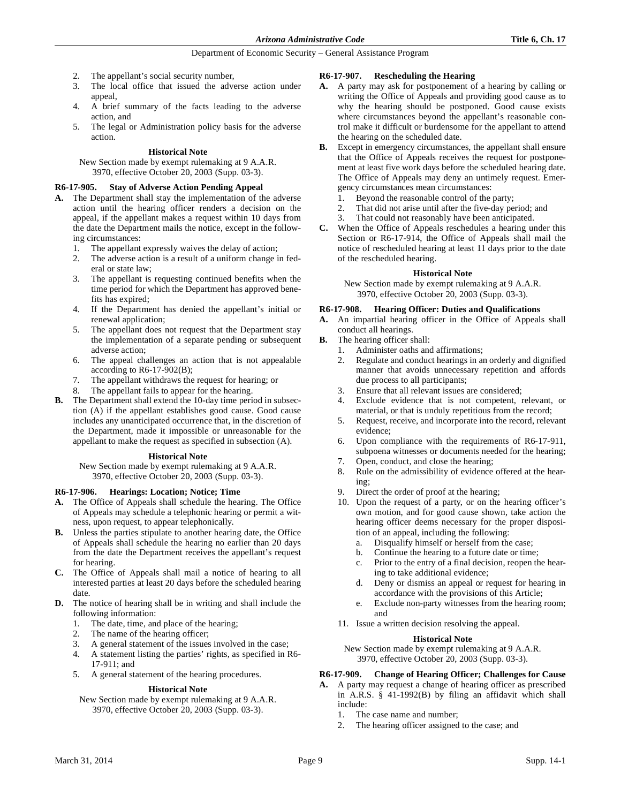- 2. The appellant's social security number,
- 3. The local office that issued the adverse action under appeal,
- 4. A brief summary of the facts leading to the adverse action, and
- 5. The legal or Administration policy basis for the adverse action.

# **Historical Note**

New Section made by exempt rulemaking at 9 A.A.R. 3970, effective October 20, 2003 (Supp. 03-3).

# **R6-17-905. Stay of Adverse Action Pending Appeal**

- **A.** The Department shall stay the implementation of the adverse action until the hearing officer renders a decision on the appeal, if the appellant makes a request within 10 days from the date the Department mails the notice, except in the following circumstances:
	- 1. The appellant expressly waives the delay of action;
	- 2. The adverse action is a result of a uniform change in federal or state law;
	- 3. The appellant is requesting continued benefits when the time period for which the Department has approved benefits has expired;
	- 4. If the Department has denied the appellant's initial or renewal application;
	- 5. The appellant does not request that the Department stay the implementation of a separate pending or subsequent adverse action;
	- 6. The appeal challenges an action that is not appealable according to R6-17-902(B);
	- 7. The appellant withdraws the request for hearing; or
	- 8. The appellant fails to appear for the hearing.
- **B.** The Department shall extend the 10-day time period in subsection (A) if the appellant establishes good cause. Good cause includes any unanticipated occurrence that, in the discretion of the Department, made it impossible or unreasonable for the appellant to make the request as specified in subsection (A).

# **Historical Note**

New Section made by exempt rulemaking at 9 A.A.R. 3970, effective October 20, 2003 (Supp. 03-3).

# **R6-17-906. Hearings: Location; Notice; Time**

- **A.** The Office of Appeals shall schedule the hearing. The Office of Appeals may schedule a telephonic hearing or permit a witness, upon request, to appear telephonically.
- **B.** Unless the parties stipulate to another hearing date, the Office of Appeals shall schedule the hearing no earlier than 20 days from the date the Department receives the appellant's request for hearing.
- **C.** The Office of Appeals shall mail a notice of hearing to all interested parties at least 20 days before the scheduled hearing date.
- **D.** The notice of hearing shall be in writing and shall include the following information:
	- 1. The date, time, and place of the hearing;
	- 2. The name of the hearing officer;
	- 3. A general statement of the issues involved in the case;
	- 4. A statement listing the parties' rights, as specified in R6- 17-911; and
	- 5. A general statement of the hearing procedures.

# **Historical Note**

New Section made by exempt rulemaking at 9 A.A.R. 3970, effective October 20, 2003 (Supp. 03-3).

# **R6-17-907. Rescheduling the Hearing**

- **A.** A party may ask for postponement of a hearing by calling or writing the Office of Appeals and providing good cause as to why the hearing should be postponed. Good cause exists where circumstances beyond the appellant's reasonable control make it difficult or burdensome for the appellant to attend the hearing on the scheduled date.
- **B.** Except in emergency circumstances, the appellant shall ensure that the Office of Appeals receives the request for postponement at least five work days before the scheduled hearing date. The Office of Appeals may deny an untimely request. Emergency circumstances mean circumstances:
	- 1. Beyond the reasonable control of the party;
	- 2. That did not arise until after the five-day period; and
	- 3. That could not reasonably have been anticipated.
- **C.** When the Office of Appeals reschedules a hearing under this Section or R6-17-914, the Office of Appeals shall mail the notice of rescheduled hearing at least 11 days prior to the date of the rescheduled hearing.

# **Historical Note**

New Section made by exempt rulemaking at 9 A.A.R. 3970, effective October 20, 2003 (Supp. 03-3).

# **R6-17-908. Hearing Officer: Duties and Qualifications**

- **A.** An impartial hearing officer in the Office of Appeals shall conduct all hearings.
- **B.** The hearing officer shall:
	- 1. Administer oaths and affirmations;
	- 2. Regulate and conduct hearings in an orderly and dignified manner that avoids unnecessary repetition and affords due process to all participants;
	- 3. Ensure that all relevant issues are considered;
	- 4. Exclude evidence that is not competent, relevant, or material, or that is unduly repetitious from the record;
	- 5. Request, receive, and incorporate into the record, relevant evidence;
	- 6. Upon compliance with the requirements of R6-17-911, subpoena witnesses or documents needed for the hearing;
	- 7. Open, conduct, and close the hearing;
	- 8. Rule on the admissibility of evidence offered at the hearing;
	- 9. Direct the order of proof at the hearing;
	- 10. Upon the request of a party, or on the hearing officer's own motion, and for good cause shown, take action the hearing officer deems necessary for the proper disposition of an appeal, including the following:
		- a. Disqualify himself or herself from the case;
		- b. Continue the hearing to a future date or time;
		- c. Prior to the entry of a final decision, reopen the hearing to take additional evidence;
		- d. Deny or dismiss an appeal or request for hearing in accordance with the provisions of this Article;
		- e. Exclude non-party witnesses from the hearing room; and
	- 11. Issue a written decision resolving the appeal.

# **Historical Note**

New Section made by exempt rulemaking at 9 A.A.R. 3970, effective October 20, 2003 (Supp. 03-3).

# **R6-17-909. Change of Hearing Officer; Challenges for Cause**

- **A.** A party may request a change of hearing officer as prescribed in A.R.S. § 41-1992(B) by filing an affidavit which shall include:
	- 1. The case name and number;
	- 2. The hearing officer assigned to the case; and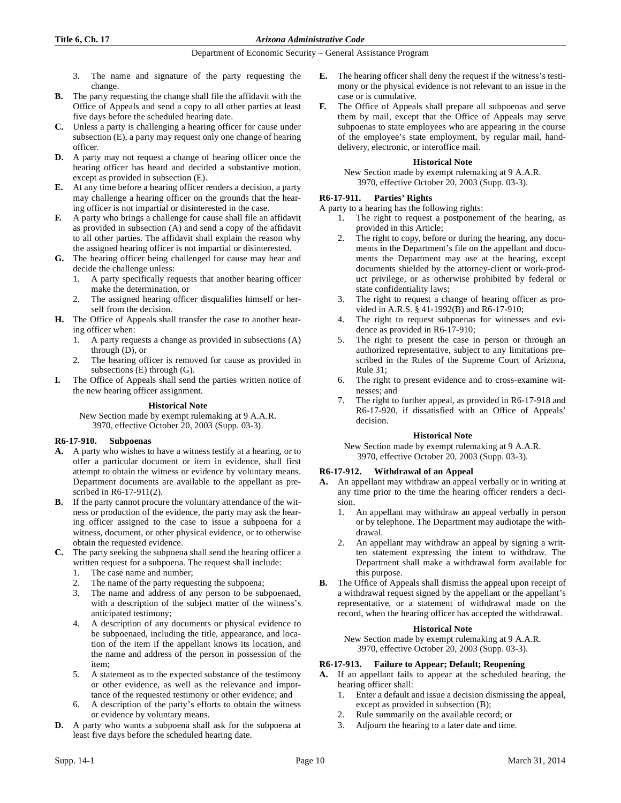- 3. The name and signature of the party requesting the change.
- **B.** The party requesting the change shall file the affidavit with the Office of Appeals and send a copy to all other parties at least five days before the scheduled hearing date.
- **C.** Unless a party is challenging a hearing officer for cause under subsection (E), a party may request only one change of hearing officer.
- **D.** A party may not request a change of hearing officer once the hearing officer has heard and decided a substantive motion, except as provided in subsection (E).
- **E.** At any time before a hearing officer renders a decision, a party may challenge a hearing officer on the grounds that the hearing officer is not impartial or disinterested in the case.
- **F.** A party who brings a challenge for cause shall file an affidavit as provided in subsection (A) and send a copy of the affidavit to all other parties. The affidavit shall explain the reason why the assigned hearing officer is not impartial or disinterested.
- **G.** The hearing officer being challenged for cause may hear and decide the challenge unless:
	- 1. A party specifically requests that another hearing officer make the determination, or
	- The assigned hearing officer disqualifies himself or herself from the decision.
- **H.** The Office of Appeals shall transfer the case to another hearing officer when:
	- 1. A party requests a change as provided in subsections (A) through (D), or
	- 2. The hearing officer is removed for cause as provided in subsections (E) through (G).
- The Office of Appeals shall send the parties written notice of the new hearing officer assignment.

# **Historical Note**

New Section made by exempt rulemaking at 9 A.A.R. 3970, effective October 20, 2003 (Supp. 03-3).

# **R6-17-910. Subpoenas**

- **A.** A party who wishes to have a witness testify at a hearing, or to offer a particular document or item in evidence, shall first attempt to obtain the witness or evidence by voluntary means. Department documents are available to the appellant as prescribed in R6-17-911(2).
- **B.** If the party cannot procure the voluntary attendance of the witness or production of the evidence, the party may ask the hearing officer assigned to the case to issue a subpoena for a witness, document, or other physical evidence, or to otherwise obtain the requested evidence.
- **C.** The party seeking the subpoena shall send the hearing officer a written request for a subpoena. The request shall include:
	- 1. The case name and number;
	- The name of the party requesting the subpoena;
	- 3. The name and address of any person to be subpoenaed, with a description of the subject matter of the witness's anticipated testimony;
	- 4. A description of any documents or physical evidence to be subpoenaed, including the title, appearance, and location of the item if the appellant knows its location, and the name and address of the person in possession of the item;
	- 5. A statement as to the expected substance of the testimony or other evidence, as well as the relevance and importance of the requested testimony or other evidence; and
	- 6. A description of the party's efforts to obtain the witness or evidence by voluntary means.
- **D.** A party who wants a subpoena shall ask for the subpoena at least five days before the scheduled hearing date.
- **E.** The hearing officer shall deny the request if the witness's testimony or the physical evidence is not relevant to an issue in the case or is cumulative.
- **F.** The Office of Appeals shall prepare all subpoenas and serve them by mail, except that the Office of Appeals may serve subpoenas to state employees who are appearing in the course of the employee's state employment, by regular mail, handdelivery, electronic, or interoffice mail.

# **Historical Note**

New Section made by exempt rulemaking at 9 A.A.R. 3970, effective October 20, 2003 (Supp. 03-3).

# **R6-17-911. Parties' Rights**

A party to a hearing has the following rights:

- 1. The right to request a postponement of the hearing, as provided in this Article;
- The right to copy, before or during the hearing, any documents in the Department's file on the appellant and documents the Department may use at the hearing, except documents shielded by the attorney-client or work-product privilege, or as otherwise prohibited by federal or state confidentiality laws;
- 3. The right to request a change of hearing officer as provided in A.R.S. § 41-1992(B) and R6-17-910;
- 4. The right to request subpoenas for witnesses and evidence as provided in R6-17-910;
- 5. The right to present the case in person or through an authorized representative, subject to any limitations prescribed in the Rules of the Supreme Court of Arizona, Rule 31;
- 6. The right to present evidence and to cross-examine witnesses; and
- The right to further appeal, as provided in R6-17-918 and R6-17-920, if dissatisfied with an Office of Appeals' decision.

# **Historical Note**

New Section made by exempt rulemaking at 9 A.A.R. 3970, effective October 20, 2003 (Supp. 03-3).

# **R6-17-912. Withdrawal of an Appeal**

- **A.** An appellant may withdraw an appeal verbally or in writing at any time prior to the time the hearing officer renders a decision.
	- 1. An appellant may withdraw an appeal verbally in person or by telephone. The Department may audiotape the withdrawal.
	- 2. An appellant may withdraw an appeal by signing a written statement expressing the intent to withdraw. The Department shall make a withdrawal form available for this purpose.
- **B.** The Office of Appeals shall dismiss the appeal upon receipt of a withdrawal request signed by the appellant or the appellant's representative, or a statement of withdrawal made on the record, when the hearing officer has accepted the withdrawal.

# **Historical Note**

New Section made by exempt rulemaking at 9 A.A.R. 3970, effective October 20, 2003 (Supp. 03-3).

# **R6-17-913. Failure to Appear; Default; Reopening**

- **A.** If an appellant fails to appear at the scheduled hearing, the hearing officer shall:
	- 1. Enter a default and issue a decision dismissing the appeal, except as provided in subsection (B);
	- 2. Rule summarily on the available record; or
	- Adjourn the hearing to a later date and time.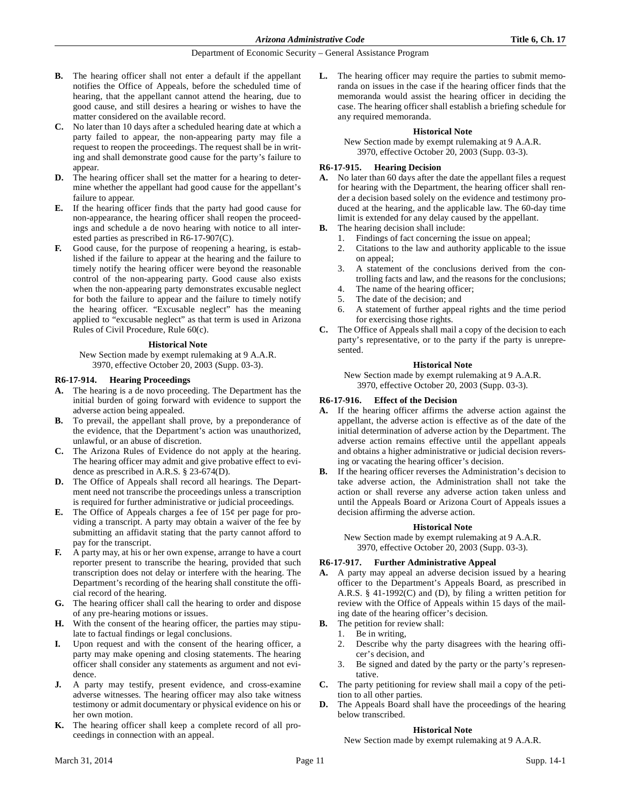- **B.** The hearing officer shall not enter a default if the appellant notifies the Office of Appeals, before the scheduled time of hearing, that the appellant cannot attend the hearing, due to good cause, and still desires a hearing or wishes to have the matter considered on the available record.
- **C.** No later than 10 days after a scheduled hearing date at which a party failed to appear, the non-appearing party may file a request to reopen the proceedings. The request shall be in writing and shall demonstrate good cause for the party's failure to appear.
- **D.** The hearing officer shall set the matter for a hearing to determine whether the appellant had good cause for the appellant's failure to appear.
- **E.** If the hearing officer finds that the party had good cause for non-appearance, the hearing officer shall reopen the proceedings and schedule a de novo hearing with notice to all interested parties as prescribed in R6-17-907(C).
- **F.** Good cause, for the purpose of reopening a hearing, is established if the failure to appear at the hearing and the failure to timely notify the hearing officer were beyond the reasonable control of the non-appearing party. Good cause also exists when the non-appearing party demonstrates excusable neglect for both the failure to appear and the failure to timely notify the hearing officer. "Excusable neglect" has the meaning applied to "excusable neglect" as that term is used in Arizona Rules of Civil Procedure, Rule 60(c).

# **Historical Note**

New Section made by exempt rulemaking at 9 A.A.R. 3970, effective October 20, 2003 (Supp. 03-3).

# **R6-17-914. Hearing Proceedings**

- **A.** The hearing is a de novo proceeding. The Department has the initial burden of going forward with evidence to support the adverse action being appealed.
- **B.** To prevail, the appellant shall prove, by a preponderance of the evidence, that the Department's action was unauthorized, unlawful, or an abuse of discretion.
- **C.** The Arizona Rules of Evidence do not apply at the hearing. The hearing officer may admit and give probative effect to evidence as prescribed in A.R.S. § 23-674(D).
- **D.** The Office of Appeals shall record all hearings. The Department need not transcribe the proceedings unless a transcription is required for further administrative or judicial proceedings.
- **E.** The Office of Appeals charges a fee of 15¢ per page for providing a transcript. A party may obtain a waiver of the fee by submitting an affidavit stating that the party cannot afford to pay for the transcript.
- **F.** A party may, at his or her own expense, arrange to have a court reporter present to transcribe the hearing, provided that such transcription does not delay or interfere with the hearing. The Department's recording of the hearing shall constitute the official record of the hearing.
- **G.** The hearing officer shall call the hearing to order and dispose of any pre-hearing motions or issues.
- **H.** With the consent of the hearing officer, the parties may stipulate to factual findings or legal conclusions.
- **I.** Upon request and with the consent of the hearing officer, a party may make opening and closing statements. The hearing officer shall consider any statements as argument and not evidence.
- **J.** A party may testify, present evidence, and cross-examine adverse witnesses. The hearing officer may also take witness testimony or admit documentary or physical evidence on his or her own motion.
- **K.** The hearing officer shall keep a complete record of all proceedings in connection with an appeal.

**L.** The hearing officer may require the parties to submit memoranda on issues in the case if the hearing officer finds that the memoranda would assist the hearing officer in deciding the case. The hearing officer shall establish a briefing schedule for any required memoranda.

### **Historical Note**

New Section made by exempt rulemaking at 9 A.A.R. 3970, effective October 20, 2003 (Supp. 03-3).

# **R6-17-915. Hearing Decision**

- **A.** No later than 60 days after the date the appellant files a request for hearing with the Department, the hearing officer shall render a decision based solely on the evidence and testimony produced at the hearing, and the applicable law. The 60-day time limit is extended for any delay caused by the appellant.
- **B.** The hearing decision shall include:
	- 1. Findings of fact concerning the issue on appeal;
	- 2. Citations to the law and authority applicable to the issue on appeal;
	- 3. A statement of the conclusions derived from the controlling facts and law, and the reasons for the conclusions;
	- 4. The name of the hearing officer;<br>5. The date of the decision: and
	- The date of the decision; and
	- 6. A statement of further appeal rights and the time period for exercising those rights.
- **C.** The Office of Appeals shall mail a copy of the decision to each party's representative, or to the party if the party is unrepresented.

# **Historical Note**

New Section made by exempt rulemaking at 9 A.A.R. 3970, effective October 20, 2003 (Supp. 03-3).

# **R6-17-916. Effect of the Decision**

- **A.** If the hearing officer affirms the adverse action against the appellant, the adverse action is effective as of the date of the initial determination of adverse action by the Department. The adverse action remains effective until the appellant appeals and obtains a higher administrative or judicial decision reversing or vacating the hearing officer's decision.
- **B.** If the hearing officer reverses the Administration's decision to take adverse action, the Administration shall not take the action or shall reverse any adverse action taken unless and until the Appeals Board or Arizona Court of Appeals issues a decision affirming the adverse action.

# **Historical Note**

New Section made by exempt rulemaking at 9 A.A.R. 3970, effective October 20, 2003 (Supp. 03-3).

# **R6-17-917. Further Administrative Appeal**

- **A.** A party may appeal an adverse decision issued by a hearing officer to the Department's Appeals Board, as prescribed in A.R.S. § 41-1992(C) and (D), by filing a written petition for review with the Office of Appeals within 15 days of the mailing date of the hearing officer's decision.
- **B.** The petition for review shall:
	- 1. Be in writing,
	- 2. Describe why the party disagrees with the hearing officer's decision, and
	- 3. Be signed and dated by the party or the party's representative.
- **C.** The party petitioning for review shall mail a copy of the petition to all other parties.
- **D.** The Appeals Board shall have the proceedings of the hearing below transcribed.

# **Historical Note**

New Section made by exempt rulemaking at 9 A.A.R.